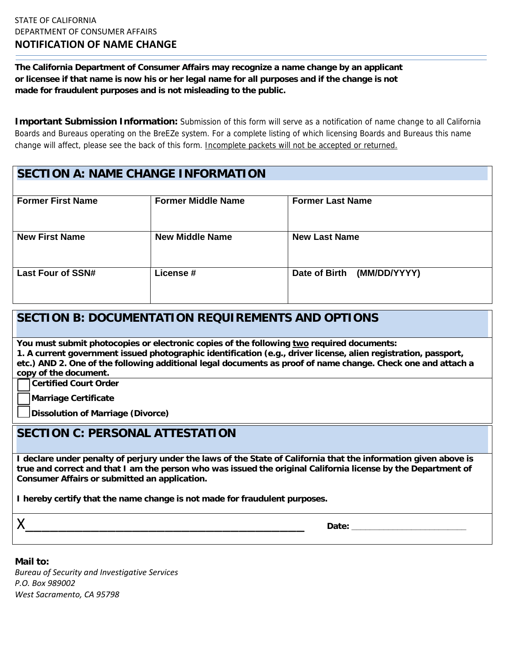**The California Department of Consumer Affairs may recognize a name change by an applicant or licensee if that name is now his or her legal name for all purposes and if the change is not made for fraudulent purposes and is not misleading to the public.** 

**Important Submission Information:** Submission of this form will serve as a notification of name change to all California Boards and Bureaus operating on the BreEZe system. For a complete listing of which licensing Boards and Bureaus this name change will affect, please see the back of this form. Incomplete packets will not be accepted or returned.

| <b>SECTION A: NAME CHANGE INFORMATION</b> |                           |                               |
|-------------------------------------------|---------------------------|-------------------------------|
|                                           |                           |                               |
| <b>Former First Name</b>                  | <b>Former Middle Name</b> | <b>Former Last Name</b>       |
| <b>New First Name</b>                     | <b>New Middle Name</b>    | <b>New Last Name</b>          |
| <b>Last Four of SSN#</b>                  | License #                 | Date of Birth<br>(MM/DD/YYYY) |

## **SECTION B: DOCUMENTATION REQUIREMENTS AND OPTIONS**

**You must submit photocopies or electronic copies of the following two required documents:** 

**1. A current government issued photographic identification (e.g., driver license, alien registration, passport, etc.) AND 2. One of the following additional legal documents as proof of name change. Check one and attach a copy of the document.** 

**Certified Court Order**

 **Marriage Certificate**

 **Dissolution of Marriage (Divorce)** 

## **SECTION C: PERSONAL ATTESTATION**

**I declare under penalty of perjury under the laws of the State of California that the information given above is true and correct and that I am the person who was issued the original California license by the Department of Consumer Affairs or submitted an application.** 

**I hereby certify that the name change is not made for fraudulent purposes.** 

i<br>Listo de  $\bm{\mathsf{X}}$  . The contract of  $\bm{\mathsf{X}}$  is a set of  $\bm{\mathsf{X}}$  . The contract of  $\bm{\mathsf{X}}$  is a set of  $\bm{\mathsf{X}}$  . The contract of  $\bm{\mathsf{X}}$  is a set of  $\bm{\mathsf{X}}$  . In the contract of  $\bm{\mathsf{X}}$  is a set of  $\bm{\mathsf{X}}$ 

 *Bureau of Security and Investigative Services P.O. Box 989002 West Sacramento, CA 95798***Mail to:**